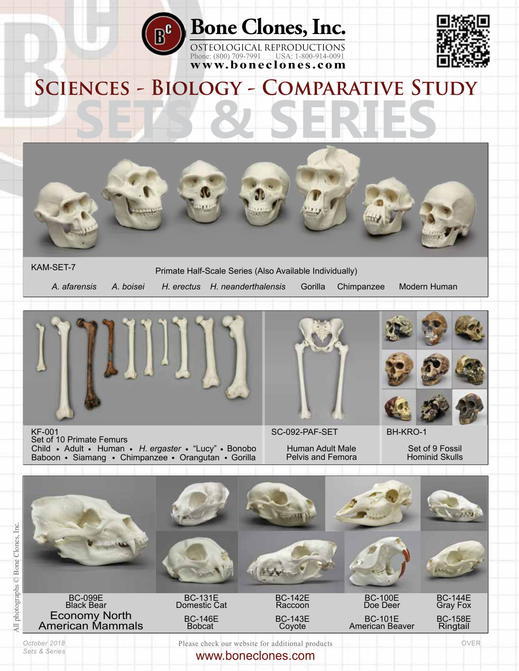



## **Sciences - Biology - Comparative Study [SETS & SERIES](https://boneclones.com/product/set-of-7-primate-skulls-half-scale-KAM-SET-7)**



KAM-SET-7 Primate Half-Scale Series (Also Available Individually)

*A. afarensis A. boisei H. erectus H. neanderthalensis* Gorilla Chimpanzee Modern Human



KF-001 Set of 10 Primate Femurs Child • Adult • Human • H. ergaster • "Lucy" • Bonobo Baboon • Siamang • Chimpanzee • Orangutan • Gorilla

SC-092-PAF-SET

[Human Adult Male](https://boneclones.com/product/human-male-adult-pelvis-with-femora-articulated-SC-092-PAF-SET)  Pelvis and Femora



BH-KRO-1

Set of 9 Fossil [Hominid Skulls](https://boneclones.com/product/set-of-9-fossil-hominid-skulls-BH-KRO-1)



*October 2018 Sets & Series*